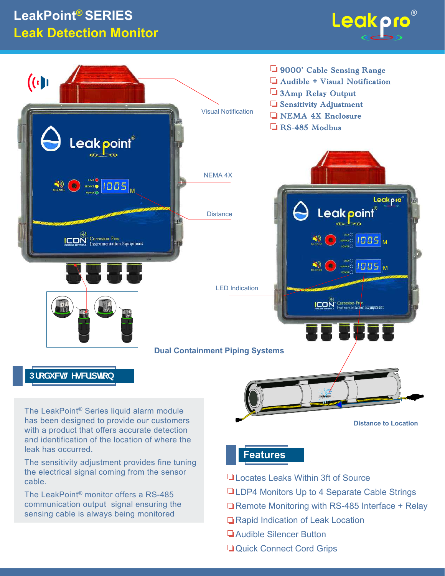## LeakPoint<sup>®</sup> SERIES **Leak Detection Monitor**

cable.

The LeakPoint<sup>®</sup> monitor offers a RS-485 communication output signal ensuring the

sensing cable is always being monitored





- Locates Leaks Within 3ft of Source
	- **QLDP4 Monitors Up to 4 Separate Cable Strings**
	- Remote Monitoring with RS-485 Interface + Relay
	- Rapid Indication of Leak Location
	- **Laudible Silencer Button**
	- Quick Connect Cord Grips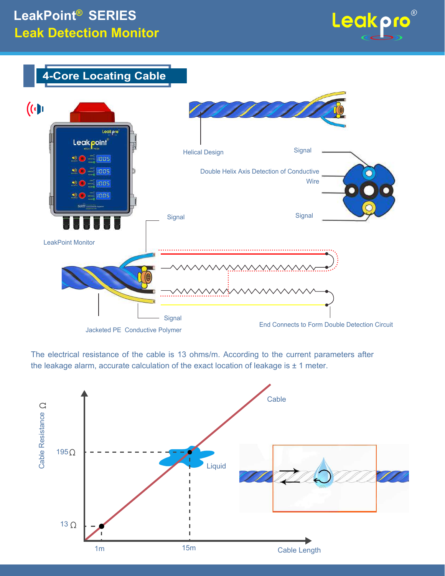## **LeakPoint® SERIES Leak Detection Monitor**







The electrical resistance of the cable is 13 ohms/m. According to the current parameters after the leakage alarm, accurate calculation of the exact location of leakage is  $\pm$  1 meter.

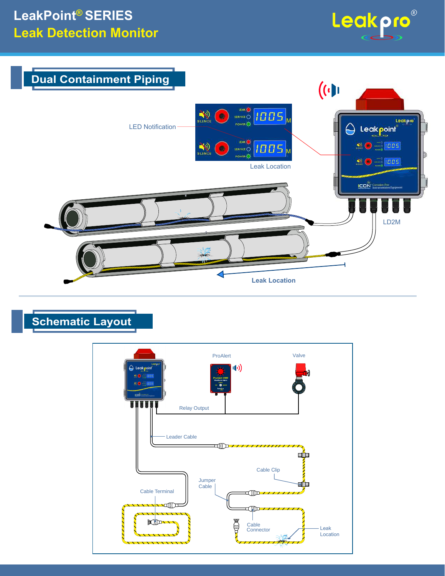



## **Schematic Layout**

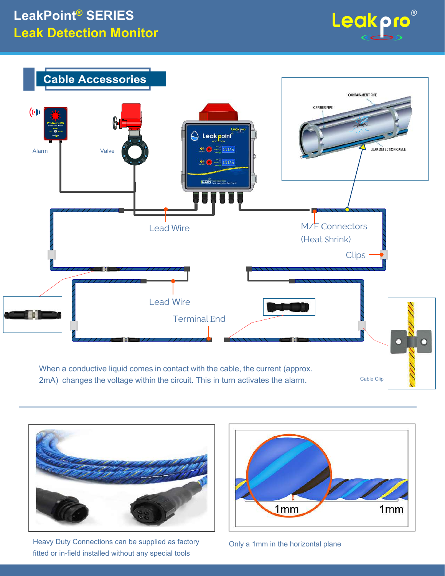



2mA) changes the voltage within the circuit. This in turn activates the alarm.



Heavy Duty Connections can be supplied as factory fitted or in-field installed without any special tools



Only a 1mm in the horizontal plane